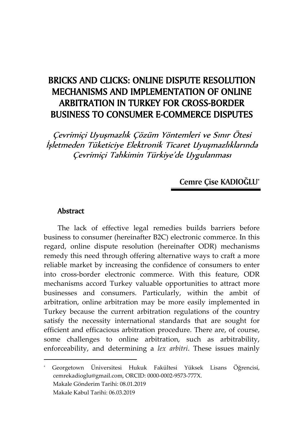# BRICKS AND CLICKS: ONLINE DISPUTE RESOLUTION MECHANISMS AND IMPLEMENTATION OF ONLINE ARBITRATION IN TURKEY FOR CROSS-BORDER BUSINESS TO CONSUMER E-COMMERCE DISPUTES

Çevrimiçi Uyuşmazlık Çözüm Yöntemleri ve Sınır Ötesi İşletmeden Tüketiciye Elektronik Ticaret Uyuşmazlıklarında Çevrimiçi Tahkimin Türkiye'de Uygulanması

**Cemre Çise KADIOĞLU**\*

#### Abstract

 $\overline{a}$ 

The lack of effective legal remedies builds barriers before business to consumer (hereinafter B2C) electronic commerce. In this regard, online dispute resolution (hereinafter ODR) mechanisms remedy this need through offering alternative ways to craft a more reliable market by increasing the confidence of consumers to enter into cross-border electronic commerce. With this feature, ODR mechanisms accord Turkey valuable opportunities to attract more businesses and consumers. Particularly, within the ambit of arbitration, online arbitration may be more easily implemented in Turkey because the current arbitration regulations of the country satisfy the necessity international standards that are sought for efficient and efficacious arbitration procedure. There are, of course, some challenges to online arbitration, such as arbitrability, enforceability, and determining a *lex arbitri*. These issues mainly

<sup>\*</sup> Georgetown Üniversitesi Hukuk Fakültesi Yüksek Lisans Öğrencisi, cemrekadioglu@gmail.com, ORCID: 0000-0002-9573-777X. Makale Gönderim Tarihi: 08.01.2019 Makale Kabul Tarihi: 06.03.2019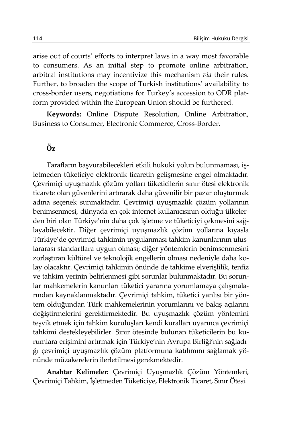arise out of courts' efforts to interpret laws in a way most favorable to consumers. As an initial step to promote online arbitration, arbitral institutions may incentivize this mechanism *via* their rules. Further, to broaden the scope of Turkish institutions' availability to cross-border users, negotiations for Turkey's accession to ODR platform provided within the European Union should be furthered.

**Keywords:** Online Dispute Resolution, Online Arbitration, Business to Consumer, Electronic Commerce, Cross-Border.

# Öz

Tarafların başvurabilecekleri etkili hukuki yolun bulunmaması, işletmeden tüketiciye elektronik ticaretin gelişmesine engel olmaktadır. Çevrimiçi uyuşmazlık çözüm yolları tüketicilerin sınır ötesi elektronik ticarete olan güvenlerini artırarak daha güvenilir bir pazar oluşturmak adına seçenek sunmaktadır. Çevrimiçi uyuşmazlık çözüm yollarının benimsenmesi, dünyada en çok internet kullanıcısının olduğu ülkelerden biri olan Türkiye'nin daha çok işletme ve tüketiciyi çekmesini sağlayabilecektir. Diğer çevrimiçi uyuşmazlık çözüm yollarına kıyasla Türkiye'de çevrimiçi tahkimin uygulanması tahkim kanunlarının uluslararası standartlara uygun olması; diğer yöntemlerin benimsenmesini zorlaştıran kültürel ve teknolojik engellerin olması nedeniyle daha kolay olacaktır. Çevrimiçi tahkimin önünde de tahkime elverişlilik, tenfiz ve tahkim yerinin belirlenmesi gibi sorunlar bulunmaktadır. Bu sorunlar mahkemelerin kanunları tüketici yararına yorumlamaya çalışmalarından kaynaklanmaktadır. Çevrimiçi tahkim, tüketici yanlısı bir yöntem olduğundan Türk mahkemelerinin yorumlarını ve bakış açılarını değiştirmelerini gerektirmektedir. Bu uyuşmazlık çözüm yöntemini teşvik etmek için tahkim kuruluşları kendi kuralları uyarınca çevrimiçi tahkimi destekleyebilirler. Sınır ötesinde bulunan tüketicilerin bu kurumlara erişimini artırmak için Türkiye'nin Avrupa Birliği'nin sağladığı çevrimiçi uyuşmazlık çözüm platformuna katılımını sağlamak yönünde müzakerelerin ilerletilmesi gerekmektedir.

**Anahtar Kelimeler:** Çevrimiçi Uyuşmazlık Çözüm Yöntemleri, Çevrimiçi Tahkim, İşletmeden Tüketiciye, Elektronik Ticaret, Sınır Ötesi.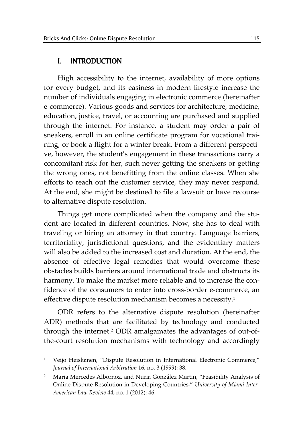## I. INTRODUCTION

 $\overline{a}$ 

High accessibility to the internet, availability of more options for every budget, and its easiness in modern lifestyle increase the number of individuals engaging in electronic commerce (hereinafter e-commerce). Various goods and services for architecture, medicine, education, justice, travel, or accounting are purchased and supplied through the internet. For instance, a student may order a pair of sneakers, enroll in an online certificate program for vocational training, or book a flight for a winter break. From a different perspective, however, the student's engagement in these transactions carry a concomitant risk for her, such never getting the sneakers or getting the wrong ones, not benefitting from the online classes. When she efforts to reach out the customer service, they may never respond. At the end, she might be destined to file a lawsuit or have recourse to alternative dispute resolution.

Things get more complicated when the company and the student are located in different countries. Now, she has to deal with traveling or hiring an attorney in that country. Language barriers, territoriality, jurisdictional questions, and the evidentiary matters will also be added to the increased cost and duration. At the end, the absence of effective legal remedies that would overcome these obstacles builds barriers around international trade and obstructs its harmony. To make the market more reliable and to increase the confidence of the consumers to enter into cross-border e-commerce, an effective dispute resolution mechanism becomes a necessity.<sup>1</sup>

ODR refers to the alternative dispute resolution (hereinafter ADR) methods that are facilitated by technology and conducted through the internet.2 ODR amalgamates the advantages of out-ofthe-court resolution mechanisms with technology and accordingly

<sup>1</sup> Veijo Heiskanen, "Dispute Resolution in International Electronic Commerce," *Journal of International Arbitration* 16, no. 3 (1999): 38.

<sup>2</sup> Maria Mercedes Albornoz, and Nuria González Martin, "Feasibility Analysis of Online Dispute Resolution in Developing Countries," *University of Miami Inter-American Law Review* 44, no. 1 (2012): 46.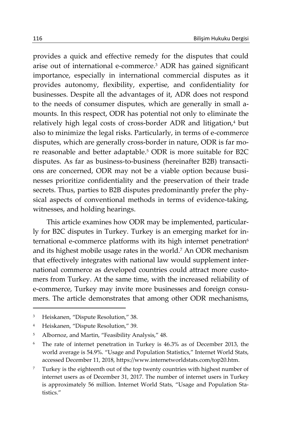provides a quick and effective remedy for the disputes that could arise out of international e-commerce.3 ADR has gained significant importance, especially in international commercial disputes as it provides autonomy, flexibility, expertise, and confidentiality for businesses. Despite all the advantages of it, ADR does not respond to the needs of consumer disputes, which are generally in small amounts. In this respect, ODR has potential not only to eliminate the relatively high legal costs of cross-border ADR and litigation,<sup>4</sup> but also to minimize the legal risks. Particularly, in terms of e-commerce disputes, which are generally cross-border in nature, ODR is far more reasonable and better adaptable.5 ODR is more suitable for B2C disputes. As far as business-to-business (hereinafter B2B) transactions are concerned, ODR may not be a viable option because businesses prioritize confidentiality and the preservation of their trade secrets. Thus, parties to B2B disputes predominantly prefer the physical aspects of conventional methods in terms of evidence-taking, witnesses, and holding hearings.

This article examines how ODR may be implemented, particularly for B2C disputes in Turkey. Turkey is an emerging market for international e-commerce platforms with its high internet penetration<sup>6</sup> and its highest mobile usage rates in the world.7 An ODR mechanism that effectively integrates with national law would supplement international commerce as developed countries could attract more customers from Turkey. At the same time, with the increased reliability of e-commerce, Turkey may invite more businesses and foreign consumers. The article demonstrates that among other ODR mechanisms,

<sup>3</sup> Heiskanen, "Dispute Resolution," 38.

<sup>4</sup> Heiskanen, "Dispute Resolution," 39.

<sup>5</sup> Albornoz, and Martin, "Feasibility Analysis," 48.

<sup>6</sup> The rate of internet penetration in Turkey is 46.3% as of December 2013, the world average is 54.9%. "Usage and Population Statistics," Internet World Stats, accessed December 11, 2018, https://www.internetworldstats.com/top20.htm.

<sup>&</sup>lt;sup>7</sup> Turkey is the eighteenth out of the top twenty countries with highest number of internet users as of December 31, 2017. The number of internet users in Turkey is approximately 56 million. Internet World Stats, "Usage and Population Statistics."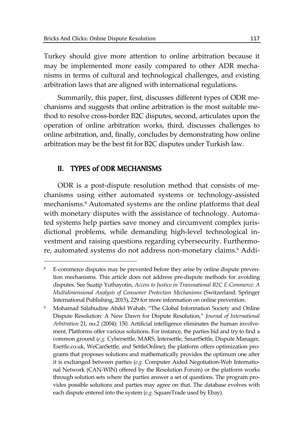Turkey should give more attention to online arbitration because it may be implemented more easily compared to other ADR mechanisms in terms of cultural and technological challenges, and existing arbitration laws that are aligned with international regulations.

Summarily, this paper, first, discusses different types of ODR mechanisms and suggests that online arbitration is the most suitable method to resolve cross-border B2C disputes, second, articulates upon the operation of online arbitration works, third, discusses challenges to online arbitration, and, finally, concludes by demonstrating how online arbitration may be the best fit for B2C disputes under Turkish law.

# II. TYPES of ODR MECHANISMS

 $\overline{a}$ 

ODR is a post-dispute resolution method that consists of mechanisms using either automated systems or technology-assisted mechanisms.8 Automated systems are the online platforms that deal with monetary disputes with the assistance of technology. Automated systems help parties save money and circumvent complex jurisdictional problems, while demanding high-level technological investment and raising questions regarding cybersecurity. Furthermore, automated systems do not address non-monetary claims.<sup>9</sup> Addi-

<sup>&</sup>lt;sup>8</sup> E-commerce disputes may be prevented before they arise by online dispute prevention mechanisms. This article does not address pre-dispute methods for avoiding disputes. See Suatip Yuthayotin, *Access to Justice in Transnational B2C E-Commerce: A Multidimensional Analysis of Consumer Protection Mechanisms* (Switzerland: Springer International Publishing, 2015), 229 for more information on online prevention.

<sup>9</sup> Mohamad Salahudine Abdel Wahab, "The Global Information Society and Online Dispute Resolution: A New Dawn for Dispute Resolution," *Journal of International Arbitration* 21, no.2 (2004): 150. Artificial intelligence eliminates the human involvement. Platforms offer various solutions. For instance, the parties bid and try to find a common ground (*e.g.* Cybersettle, MARS, Intersettle, SmartSettle, Dispute Manager, Esettle.co.uk, WeCanSettle, and SettleOnline); the platform offers optimization programs that proposes solutions and mathematically provides the optimum one after it is exchanged between parties (*e.g.* Computer Aided Negotiation-Web International Network (CAN-WIN) offered by the Resolution Forum) or the platform works through solution sets where the parties answer a set of questions. The program provides possible solutions and parties may agree on that. The database evolves with each dispute entered into the system (*e.g.* SquareTrade used by Ebay).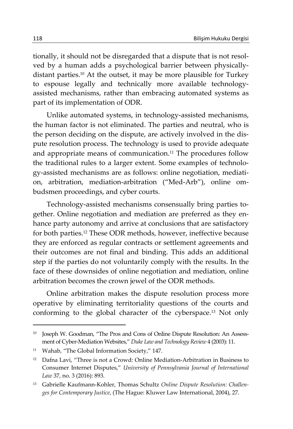tionally, it should not be disregarded that a dispute that is not resolved by a human adds a psychological barrier between physicallydistant parties.10 At the outset, it may be more plausible for Turkey to espouse legally and technically more available technologyassisted mechanisms, rather than embracing automated systems as part of its implementation of ODR.

Unlike automated systems, in technology-assisted mechanisms, the human factor is not eliminated. The parties and neutral, who is the person deciding on the dispute, are actively involved in the dispute resolution process. The technology is used to provide adequate and appropriate means of communication.<sup>11</sup> The procedures follow the traditional rules to a larger extent. Some examples of technology-assisted mechanisms are as follows: online negotiation, mediation, arbitration, mediation-arbitration ("Med-Arb"), online ombudsmen proceedings, and cyber courts.

Technology-assisted mechanisms consensually bring parties together. Online negotiation and mediation are preferred as they enhance party autonomy and arrive at conclusions that are satisfactory for both parties.12 These ODR methods, however, ineffective because they are enforced as regular contracts or settlement agreements and their outcomes are not final and binding. This adds an additional step if the parties do not voluntarily comply with the results. In the face of these downsides of online negotiation and mediation, online arbitration becomes the crown jewel of the ODR methods.

Online arbitration makes the dispute resolution process more operative by eliminating territoriality questions of the courts and conforming to the global character of the cyberspace.13 Not only

<sup>10</sup> Joseph W. Goodman, "The Pros and Cons of Online Dispute Resolution: An Assessment of Cyber-Mediation Websites," *Duke Law and Technology Review* 4 (2003): 11.

<sup>11</sup> Wahab, "The Global Information Society," 147.

<sup>&</sup>lt;sup>12</sup> Dafna Lavi, "Three is not a Crowd: Online Mediation-Arbitration in Business to Consumer Internet Disputes," *University of Pennsylvania Journal of International Law* 37, no. 3 (2016): 893.

<sup>13</sup> Gabrielle Kaufmann-Kohler, Thomas Schultz *Online Dispute Resolution: Challenges for Contemporary Justice*, (The Hague: Kluwer Law International, 2004), 27.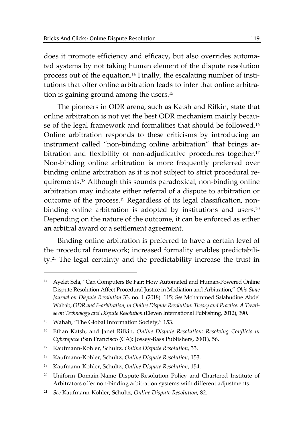does it promote efficiency and efficacy, but also overrides automated systems by not taking human element of the dispute resolution process out of the equation.14 Finally, the escalating number of institutions that offer online arbitration leads to infer that online arbitration is gaining ground among the users.15

The pioneers in ODR arena, such as Katsh and Rifkin, state that online arbitration is not yet the best ODR mechanism mainly because of the legal framework and formalities that should be followed.<sup>16</sup> Online arbitration responds to these criticisms by introducing an instrument called "non-binding online arbitration" that brings arbitration and flexibility of non-adjudicative procedures together.<sup>17</sup> Non-binding online arbitration is more frequently preferred over binding online arbitration as it is not subject to strict procedural requirements.18 Although this sounds paradoxical, non-binding online arbitration may indicate either referral of a dispute to arbitration or outcome of the process.19 Regardless of its legal classification, nonbinding online arbitration is adopted by institutions and users.<sup>20</sup> Depending on the nature of the outcome, it can be enforced as either an arbitral award or a settlement agreement.

Binding online arbitration is preferred to have a certain level of the procedural framework; increased formality enables predictability.21 The legal certainty and the predictability increase the trust in

<sup>14</sup> Ayelet Sela, "Can Computers Be Fair: How Automated and Human-Powered Online Dispute Resolution Affect Procedural Justice in Mediation and Arbitration," *Ohio State Journal on Dispute Resolution* 33, no. 1 (2018): 115; *See* Mohammed Salahudine Abdel Wahab, *ODR and E-arbitration, in Online Dispute Resolution: Theory and Practice: A Treatise on Technology and Dispute Resolution* (Eleven International Publishing, 2012), 390.

<sup>15</sup> Wahab, "The Global Information Society," 153.

<sup>16</sup> Ethan Katsh, and Janet Rifkin, *Online Dispute Resolution: Resolving Conflicts in Cyberspace* (San Francisco (CA): Jossey-Bass Publishers, 2001), 56.

<sup>17</sup> Kaufmann-Kohler, Schultz, *Online Dispute Resolution*, 33.

<sup>18</sup> Kaufmann-Kohler, Schultz, *Online Dispute Resolution*, 153.

<sup>19</sup> Kaufmann-Kohler, Schultz, *Online Dispute Resolution*, 154.

<sup>&</sup>lt;sup>20</sup> Uniform Domain-Name Dispute-Resolution Policy and Chartered Institute of Arbitrators offer non-binding arbitration systems with different adjustments.

<sup>21</sup> *See* Kaufmann-Kohler, Schultz, *Online Dispute Resolution*, 82.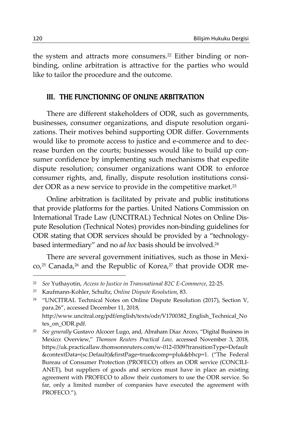the system and attracts more consumers.<sup>22</sup> Either binding or nonbinding, online arbitration is attractive for the parties who would like to tailor the procedure and the outcome.

## III. THE FUNCTIONING OF ONLINE ARBITRATION

There are different stakeholders of ODR, such as governments, businesses, consumer organizations, and dispute resolution organizations. Their motives behind supporting ODR differ. Governments would like to promote access to justice and e-commerce and to decrease burden on the courts; businesses would like to build up consumer confidence by implementing such mechanisms that expedite dispute resolution; consumer organizations want ODR to enforce consumer rights, and, finally, dispute resolution institutions consider ODR as a new service to provide in the competitive market.<sup>23</sup>

Online arbitration is facilitated by private and public institutions that provide platforms for the parties. United Nations Commission on International Trade Law (UNCITRAL) Technical Notes on Online Dispute Resolution (Technical Notes) provides non-binding guidelines for ODR stating that ODR services should be provided by a "technologybased intermediary" and no *ad hoc* basis should be involved.24

There are several government initiatives, such as those in Mexi- $\text{co,}^{25}$  Canada,<sup>26</sup> and the Republic of Korea,<sup>27</sup> that provide ODR me-

<sup>24</sup> "UNCITRAL Technical Notes on Online Dispute Resolution (2017), Section V, para.26", accessed December 11, 2018, http://www.uncitral.org/pdf/english/texts/odr/V1700382\_English\_Technical\_No tes\_on\_ODR.pdf.

25 *See generally* Gustavo Alcocer Lugo, and, Abraham Diaz Arceo, "Digital Business in Mexico: Overview," *Thomson Reuters Practical Law,* accessed November 3, 2018, https://uk.practicallaw.thomsonreuters.com/w-012-0309?transitionType=Default &contextData=(sc.Default)&firstPage=true&comp=pluk&bhcp=1. ("The Federal Bureau of Consumer Protection (PROFECO) offers an ODR service (CONCILI-ANET), but suppliers of goods and services must have in place an existing agreement with PROFECO to allow their customers to use the ODR service. So far, only a limited number of companies have executed the agreement with PROFECO.").

<sup>22</sup> *See* Yuthayotin, *Access to Justice in Transnational B2C E-Commerce,* 22-25.

<sup>23</sup> Kaufmann-Kohler, Schultz, *Online Dispute Resolution*, 83.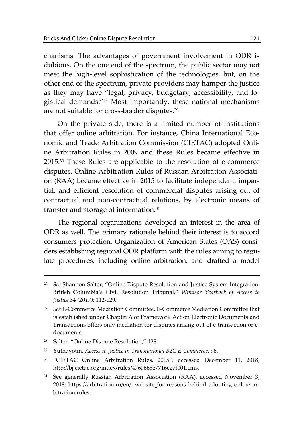chanisms. The advantages of government involvement in ODR is dubious. On the one end of the spectrum, the public sector may not meet the high-level sophistication of the technologies, but, on the other end of the spectrum, private providers may hamper the justice as they may have "legal, privacy, budgetary, accessibility, and logistical demands."28 Most importantly, these national mechanisms are not suitable for cross-border disputes.29

On the private side, there is a limited number of institutions that offer online arbitration. For instance, China International Economic and Trade Arbitration Commission (CIETAC) adopted Online Arbitration Rules in 2009 and these Rules became effective in 2015.30 These Rules are applicable to the resolution of e-commerce disputes. Online Arbitration Rules of Russian Arbitration Association (RAA) became effective in 2015 to facilitate independent, impartial, and efficient resolution of commercial disputes arising out of contractual and non-contractual relations, by electronic means of transfer and storage of information.31

The regional organizations developed an interest in the area of ODR as well. The primary rationale behind their interest is to accord consumers protection. Organization of American States (OAS) considers establishing regional ODR platform with the rules aiming to regulate procedures, including online arbitration, and drafted a model

- 30 "CIETAC Online Arbitration Rules, 2015", accessed December 11, 2018, http://bj.cietac.org/index/rules/4760665e7716e27f001.cms.
- <sup>31</sup> See generally Russian Arbitration Association (RAA), accessed November 3, 2018, https://arbitration.ru/en/. website for reasons behind adopting online arbitration rules.

<sup>26</sup> *See* Shannon Salter, "Online Dispute Resolution and Justice System Integration: British Columbia's Civil Resolution Tribunal," *Windsor Yearbook of Access to Justice 34 (2017):* 112-129.

<sup>27</sup> *See* E-Commerce Mediation Committee. E-Commerce Mediation Committee that is established under Chapter 6 of Framework Act on Electronic Documents and Transactions offers only mediation for disputes arising out of e-transaction or edocuments.

<sup>28</sup> Salter, "Online Dispute Resolution," 128.

<sup>29</sup> Yuthayotin, *Access to Justice in Transnational B2C E-Commerce,* 96.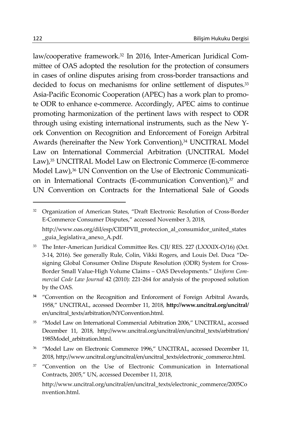law/cooperative framework.32 In 2016, Inter-American Juridical Committee of OAS adopted the resolution for the protection of consumers in cases of online disputes arising from cross-border transactions and decided to focus on mechanisms for online settlement of disputes.<sup>33</sup> Asia-Pacific Economic Cooperation (APEC) has a work plan to promote ODR to enhance e-commerce. Accordingly, APEC aims to continue promoting harmonization of the pertinent laws with respect to ODR through using existing international instruments, such as the New York Convention on Recognition and Enforcement of Foreign Arbitral Awards (hereinafter the New York Convention),<sup>34</sup> UNCITRAL Model Law on International Commercial Arbitration (UNCITRAL Model Law),<sup>35</sup> UNCITRAL Model Law on Electronic Commerce (E-commerce Model Law),<sup>36</sup> UN Convention on the Use of Electronic Communication in International Contracts (E-communication Convention),<sup>37</sup> and UN Convention on Contracts for the International Sale of Goods

<sup>&</sup>lt;sup>32</sup> Organization of American States, "Draft Electronic Resolution of Cross-Border E-Commerce Consumer Disputes," accessed November 3, 2018, http://www.oas.org/dil/esp/CIDIPVII\_proteccion\_al\_consumidor\_united\_states \_guia\_legislativa\_anexo\_A.pdf.

<sup>&</sup>lt;sup>33</sup> The Inter-American Juridical Committee Res. CJI/ RES. 227 (LXXXIX-O/16) (Oct. 3-14, 2016). See generally Rule, Colin, Vikki Rogers, and Louis Del. Duca "Designing Global Consumer Online Dispute Resolution (ODR) System for Cross-Border Small Value-High Volume Claims – OAS Developments." *Uniform Commercial Code Law Journal* 42 (2010): 221-264 for analysis of the proposed solution by the OAS.

**<sup>34</sup>**"Convention on the Recognition and Enforcement of Foreign Arbitral Awards, 1958," UNCITRAL, accessed December 11, 2018, **http://www.uncitral.org/uncitral/** en/uncitral\_texts/arbitration/NYConvention.html.

<sup>35 &</sup>quot;Model Law on International Commercial Arbitration 2006," UNCITRAL, accessed December 11, 2018, http://www.uncitral.org/uncitral/en/uncitral\_texts/arbitration/ 1985Model\_arbitration.html.

<sup>&</sup>lt;sup>36</sup> "Model Law on Electronic Commerce 1996," UNCITRAL, accessed December 11, 2018, http://www.uncitral.org/uncitral/en/uncitral\_texts/electronic\_commerce.html.

<sup>&</sup>lt;sup>37</sup> "Convention on the Use of Electronic Communication in International Contracts, 2005," UN, accessed December 11, 2018,

http://www.uncitral.org/uncitral/en/uncitral\_texts/electronic\_commerce/2005Co nvention.html.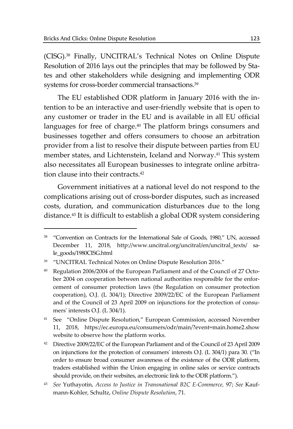$\overline{a}$ 

(CISG).38 Finally, UNCITRAL's Technical Notes on Online Dispute Resolution of 2016 lays out the principles that may be followed by States and other stakeholders while designing and implementing ODR systems for cross-border commercial transactions.39

The EU established ODR platform in January 2016 with the intention to be an interactive and user-friendly website that is open to any customer or trader in the EU and is available in all EU official languages for free of charge.<sup>40</sup> The platform brings consumers and businesses together and offers consumers to choose an arbitration provider from a list to resolve their dispute between parties from EU member states, and Lichtenstein, Iceland and Norway.<sup>41</sup> This system also necessitates all European businesses to integrate online arbitration clause into their contracts.<sup>42</sup>

Government initiatives at a national level do not respond to the complications arising out of cross-border disputes, such as increased costs, duration, and communication disturbances due to the long distance.43 It is difficult to establish a global ODR system considering

<sup>38 &</sup>quot;Convention on Contracts for the International Sale of Goods, 1980," UN, accessed December 11, 2018, http://www.uncitral.org/uncitral/en/uncitral\_texts/ sale\_goods/1980CISG.html

<sup>39 &</sup>quot;UNCITRAL Technical Notes on Online Dispute Resolution 2016."

<sup>40</sup> Regulation 2006/2004 of the European Parliament and of the Council of 27 October 2004 on cooperation between national authorities responsible for the enforcement of consumer protection laws (the Regulation on consumer protection cooperation), O.J. (L 304/1); Directive 2009/22/EC of the European Parliament and of the Council of 23 April 2009 on injunctions for the protection of consumers' interests O.J. (L 304/1).

<sup>41</sup> See "Online Dispute Resolution," European Commission, accessed November 11, 2018, https://ec.europa.eu/consumers/odr/main/?event=main.home2.show website to observe how the platform works.

<sup>42</sup> Directive 2009/22/EC of the European Parliament and of the Council of 23 April 2009 on injunctions for the protection of consumers' interests O.J. (L 304/1) para 30. ("In order to ensure broad consumer awareness of the existence of the ODR platform, traders established within the Union engaging in online sales or service contracts should provide, on their websites, an electronic link to the ODR platform.").

<sup>43</sup> *See* Yuthayotin, *Access to Justice in Transnational B2C E-Commerce,* 97; *See* Kaufmann-Kohler, Schultz, *Online Dispute Resolution*, 71.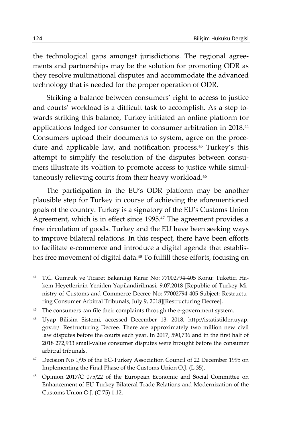the technological gaps amongst jurisdictions. The regional agreements and partnerships may be the solution for promoting ODR as they resolve multinational disputes and accommodate the advanced technology that is needed for the proper operation of ODR.

Striking a balance between consumers' right to access to justice and courts' workload is a difficult task to accomplish. As a step towards striking this balance, Turkey initiated an online platform for applications lodged for consumer to consumer arbitration in 2018.44 Consumers upload their documents to system, agree on the procedure and applicable law, and notification process.<sup>45</sup> Turkey's this attempt to simplify the resolution of the disputes between consumers illustrate its volition to promote access to justice while simultaneously relieving courts from their heavy workload.<sup>46</sup>

The participation in the EU's ODR platform may be another plausible step for Turkey in course of achieving the aforementioned goals of the country. Turkey is a signatory of the EU's Customs Union Agreement, which is in effect since 1995.<sup>47</sup> The agreement provides a free circulation of goods. Turkey and the EU have been seeking ways to improve bilateral relations. In this respect, there have been efforts to facilitate e-commerce and introduce a digital agenda that establishes free movement of digital data.<sup>48</sup> To fulfill these efforts, focusing on

<sup>47</sup> Decision No 1/95 of the EC-Turkey Association Council of 22 December 1995 on Implementing the Final Phase of the Customs Union O.J. (L 35).

<sup>44</sup> T.C. Gumruk ve Ticaret Bakanligi Karar No: 77002794-405 Konu: Tuketici Hakem Heyetlerinin Yeniden Yapilandirilmasi, 9.07.2018 [Republic of Turkey Ministry of Customs and Commerce Decree No: 77002794-405 Subject: Restructuring Consumer Arbitral Tribunals, July 9, 2018][Restructuring Decree].

<sup>&</sup>lt;sup>45</sup> The consumers can file their complaints through the e-government system.

<sup>46</sup> Uyap Bilisim Sistemi, accessed December 13, 2018, http://istatistikler.uyap. gov.tr/. Restructuring Decree. There are approximately two million new civil law disputes before the courts each year. In 2017, 590,736 and in the first half of 2018 272,933 small-value consumer disputes were brought before the consumer arbitral tribunals.

<sup>48</sup> Opinion 2017/C 075/22 of the European Economic and Social Committee on Enhancement of EU-Turkey Bilateral Trade Relations and Modernization of the Customs Union O.J. (C 75) 1.12.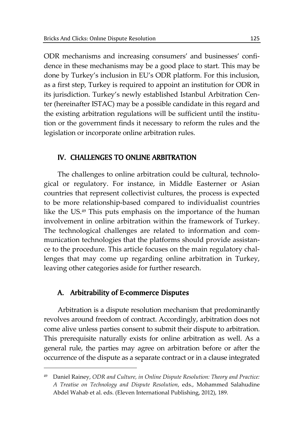ODR mechanisms and increasing consumers' and businesses' confidence in these mechanisms may be a good place to start. This may be done by Turkey's inclusion in EU's ODR platform. For this inclusion, as a first step, Turkey is required to appoint an institution for ODR in its jurisdiction. Turkey's newly established Istanbul Arbitration Center (hereinafter ISTAC) may be a possible candidate in this regard and the existing arbitration regulations will be sufficient until the institution or the government finds it necessary to reform the rules and the legislation or incorporate online arbitration rules.

# IV. CHALLENGES TO ONLINE ARBITRATION

The challenges to online arbitration could be cultural, technological or regulatory. For instance, in Middle Easterner or Asian countries that represent collectivist cultures, the process is expected to be more relationship-based compared to individualist countries like the US.49 This puts emphasis on the importance of the human involvement in online arbitration within the framework of Turkey. The technological challenges are related to information and communication technologies that the platforms should provide assistance to the procedure. This article focuses on the main regulatory challenges that may come up regarding online arbitration in Turkey, leaving other categories aside for further research.

# A. Arbitrability of E-commerce Disputes

 $\overline{a}$ 

Arbitration is a dispute resolution mechanism that predominantly revolves around freedom of contract. Accordingly, arbitration does not come alive unless parties consent to submit their dispute to arbitration. This prerequisite naturally exists for online arbitration as well. As a general rule, the parties may agree on arbitration before or after the occurrence of the dispute as a separate contract or in a clause integrated

<sup>49</sup> Daniel Rainey, *ODR and Culture, in Online Dispute Resolution: Theory and Practice: A Treatise on Technology and Dispute Resolution*, eds., Mohammed Salahudine Abdel Wahab et al. eds. (Eleven International Publishing, 2012), 189.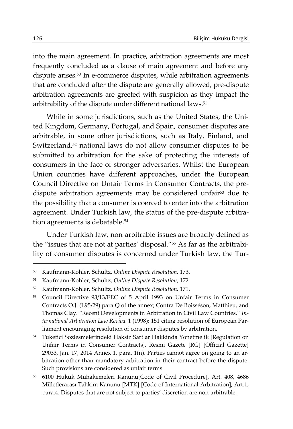into the main agreement. In practice, arbitration agreements are most frequently concluded as a clause of main agreement and before any dispute arises.<sup>50</sup> In e-commerce disputes, while arbitration agreements that are concluded after the dispute are generally allowed, pre-dispute arbitration agreements are greeted with suspicion as they impact the arbitrability of the dispute under different national laws.<sup>51</sup>

While in some jurisdictions, such as the United States, the United Kingdom, Germany, Portugal, and Spain, consumer disputes are arbitrable, in some other jurisdictions, such as Italy, Finland, and Switzerland,52 national laws do not allow consumer disputes to be submitted to arbitration for the sake of protecting the interests of consumers in the face of stronger adversaries. Whilst the European Union countries have different approaches, under the European Council Directive on Unfair Terms in Consumer Contracts, the predispute arbitration agreements may be considered unfair<sup>53</sup> due to the possibility that a consumer is coerced to enter into the arbitration agreement. Under Turkish law, the status of the pre-dispute arbitration agreements is debatable.<sup>54</sup>

Under Turkish law, non-arbitrable issues are broadly defined as the "issues that are not at parties' disposal."55 As far as the arbitrability of consumer disputes is concerned under Turkish law, the Tur-

54 Tuketici Sozlesmelerindeki Haksiz Sartlar Hakkinda Yonetmelik [Regulation on Unfair Terms in Consumer Contracts], Resmi Gazete [RG] [Official Gazette] 29033, Jan. 17, 2014 Annex 1, para. 1(n). Parties cannot agree on going to an arbitration other than mandatory arbitration in their contract before the dispute. Such provisions are considered as unfair terms.

<sup>50</sup> Kaufmann-Kohler, Schultz, *Online Dispute Resolution*, 173.

<sup>51</sup> Kaufmann-Kohler, Schultz, *Online Dispute Resolution*, 172.

<sup>52</sup> Kaufmann-Kohler, Schultz, *Online Dispute Resolution*, 171.

<sup>53</sup> Council Directive 93/13/EEC of 5 April 1993 on Unfair Terms in Consumer Contracts O.J. (L95/29) para Q of the annex; Contra De Boisséson, Matthieu, and Thomas Clay. "Recent Developments in Arbitration in Civil Law Countries." *International Arbitration Law Review* 1 (1998): 151 citing resolution of European Parliament encouraging resolution of consumer disputes by arbitration.

<sup>55 6100</sup> Hukuk Muhakemeleri Kanunu[Code of Civil Procedure], Art. 408, 4686 Milletlerarası Tahkim Kanunu [MTK] [Code of International Arbitration], Art.1, para.4. Disputes that are not subject to parties' discretion are non-arbitrable.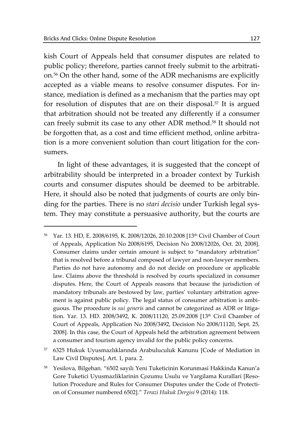$\overline{a}$ 

kish Court of Appeals held that consumer disputes are related to public policy; therefore, parties cannot freely submit to the arbitration.56 On the other hand, some of the ADR mechanisms are explicitly accepted as a viable means to resolve consumer disputes. For instance, mediation is defined as a mechanism that the parties may opt for resolution of disputes that are on their disposal.<sup>57</sup> It is argued that arbitration should not be treated any differently if a consumer can freely submit its case to any other ADR method.58 It should not be forgotten that, as a cost and time efficient method, online arbitration is a more convenient solution than court litigation for the consumers.

In light of these advantages, it is suggested that the concept of arbitrability should be interpreted in a broader context by Turkish courts and consumer disputes should be deemed to be arbitrable. Here, it should also be noted that judgments of courts are only binding for the parties. There is no *stari decisio* under Turkish legal system. They may constitute a persuasive authority, but the courts are

<sup>56</sup> Yar. 13. HD, E. 2008/6195, K. 2008/12026, 20.10.2008 [13th Civil Chamber of Court of Appeals, Application No 2008/6195, Decision No 2008/12026, Oct. 20, 2008]. Consumer claims under certain amount is subject to "mandatory arbitration" that is resolved before a tribunal composed of lawyer and non-lawyer members. Parties do not have autonomy and do not decide on procedure or applicable law. Claims above the threshold is resolved by courts specialized in consumer disputes. Here, the Court of Appeals reasons that because the jurisdiction of mandatory tribunals are bestowed by law, parties' voluntary arbitration agreement is against public policy. The legal status of consumer arbitration is ambiguous. The procedure is *sui generis* and cannot be categorized as ADR or litigation. Yar. 13. HD. 2008/3492, K. 2008/11120, 25.09.2008 [13th Civil Chamber of Court of Appeals, Application No 2008/3492, Decision No 2008/11120, Sept. 25, 2008]. In this case, the Court of Appeals held the arbitration agreement between a consumer and tourism agency invalid for the public policy concerns.

<sup>57 6325</sup> Hukuk Uyusmazlıklarında Arabuluculuk Kanunu [Code of Mediation in Law Civil Disputes], Art. 1, para. 2.

<sup>58</sup> Yesilova, Bilgehan. "6502 sayılı Yeni Tuketicinin Korunmasi Hakkinda Kanun'a Gore Tuketici Uyusmazliklarinin Çozumu Usulu ve Yargilama Kurallari [Resolution Procedure and Rules for Consumer Disputes under the Code of Protection of Consumer numbered 6502]." *Terazi Hukuk Dergisi* 9 (2014): 118.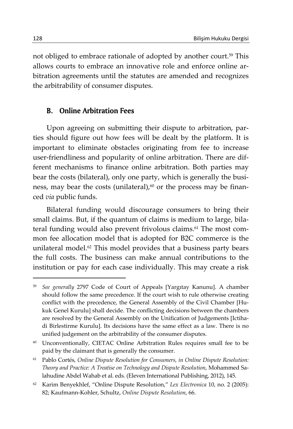not obliged to embrace rationale of adopted by another court.<sup>59</sup> This allows courts to embrace an innovative role and enforce online arbitration agreements until the statutes are amended and recognizes the arbitrability of consumer disputes.

## B. Online Arbitration Fees

Upon agreeing on submitting their dispute to arbitration, parties should figure out how fees will be dealt by the platform. It is important to eliminate obstacles originating from fee to increase user-friendliness and popularity of online arbitration. There are different mechanisms to finance online arbitration. Both parties may bear the costs (bilateral), only one party, which is generally the business, may bear the costs (unilateral), $60$  or the process may be financed *via* public funds.

Bilateral funding would discourage consumers to bring their small claims. But, if the quantum of claims is medium to large, bilateral funding would also prevent frivolous claims.61 The most common fee allocation model that is adopted for B2C commerce is the unilateral model. $62$  This model provides that a business party bears the full costs. The business can make annual contributions to the institution or pay for each case individually. This may create a risk

62 Karim Benyekhlef, "Online Dispute Resolution," *Lex Electronica* 10, no. 2 (2005): 82; Kaufmann-Kohler, Schultz, *Online Dispute Resolution*, 66.

<sup>59</sup> *See generally* 2797 Code of Court of Appeals [Yargıtay Kanunu]. A chamber should follow the same precedence. If the court wish to rule otherwise creating conflict with the precedence, the General Assembly of the Civil Chamber [Hukuk Genel Kurulu] shall decide. The conflicting decisions between the chambers are resolved by the General Assembly on the Unification of Judgements [Ictihadi Birlestirme Kurulu]. Its decisions have the same effect as a law. There is no unified judgement on the arbitrability of the consumer disputes.

<sup>&</sup>lt;sup>60</sup> Unconventionally, CIETAC Online Arbitration Rules requires small fee to be paid by the claimant that is generally the consumer.

<sup>61</sup> Pablo Cortés, *Online Dispute Resolution for Consumers, in Online Dispute Resolution: Theory and Practice: A Treatise on Technology and Dispute Resolution*, Mohammed Salahudine Abdel Wahab et al. eds. (Eleven International Publishing, 2012), 145.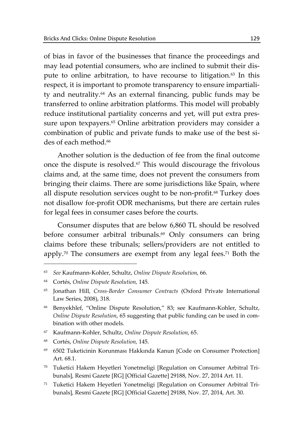of bias in favor of the businesses that finance the proceedings and may lead potential consumers, who are inclined to submit their dispute to online arbitration, to have recourse to litigation.<sup>63</sup> In this respect, it is important to promote transparency to ensure impartiality and neutrality.64 As an external financing, public funds may be transferred to online arbitration platforms. This model will probably reduce institutional partiality concerns and yet, will put extra pressure upon texpayers.<sup>65</sup> Online arbitration providers may consider a combination of public and private funds to make use of the best sides of each method.<sup>66</sup>

Another solution is the deduction of fee from the final outcome once the dispute is resolved.67 This would discourage the frivolous claims and, at the same time, does not prevent the consumers from bringing their claims. There are some jurisdictions like Spain, where all dispute resolution services ought to be non-profit.<sup>68</sup> Turkey does not disallow for-profit ODR mechanisms, but there are certain rules for legal fees in consumer cases before the courts.

Consumer disputes that are below 6,860 TL should be resolved before consumer arbitral tribunals.<sup>69</sup> Only consumers can bring claims before these tribunals; sellers/providers are not entitled to apply.70 The consumers are exempt from any legal fees.71 Both the

<sup>63</sup> *See* Kaufmann-Kohler, Schultz, *Online Dispute Resolution*, 66.

<sup>64</sup> Cortés, *Online Dispute Resolution,* 145.

<sup>65</sup> Jonathan Hill, *Cross-Border Consumer Contracts* (Oxford Private International Law Series, 2008), 318.

<sup>66</sup> Benyekhlef, "Online Dispute Resolution," 83; see Kaufmann-Kohler, Schultz, *Online Dispute Resolution*, 65 suggesting that public funding can be used in combination with other models.

<sup>67</sup> Kaufmann-Kohler, Schultz, *Online Dispute Resolution*, 65.

<sup>68</sup> Cortés, *Online Dispute Resolution,* 145.

<sup>69 6502</sup> Tuketicinin Korunması Hakkında Kanun [Code on Consumer Protection] Art. 68.1.

<sup>70</sup> Tuketici Hakem Heyetleri Yonetmeligi [Regulation on Consumer Arbitral Tribunals], Resmi Gazete [RG] [Official Gazette] 29188, Nov. 27, 2014 Art. 11.

<sup>71</sup> Tuketici Hakem Heyetleri Yonetmeligi [Regulation on Consumer Arbitral Tribunals], Resmi Gazete [RG] [Official Gazette] 29188, Nov. 27, 2014, Art. 30.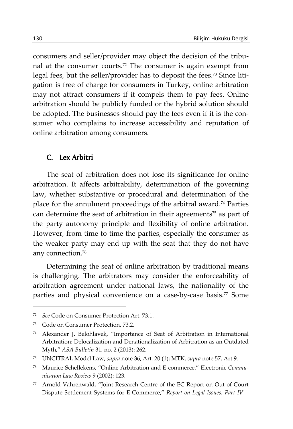consumers and seller/provider may object the decision of the tribunal at the consumer courts.72 The consumer is again exempt from legal fees, but the seller/provider has to deposit the fees.73 Since litigation is free of charge for consumers in Turkey, online arbitration may not attract consumers if it compels them to pay fees. Online arbitration should be publicly funded or the hybrid solution should be adopted. The businesses should pay the fees even if it is the consumer who complains to increase accessibility and reputation of online arbitration among consumers.

#### C. Lex Arbitri

The seat of arbitration does not lose its significance for online arbitration. It affects arbitrability, determination of the governing law, whether substantive or procedural and determination of the place for the annulment proceedings of the arbitral award.74 Parties can determine the seat of arbitration in their agreements<sup>75</sup> as part of the party autonomy principle and flexibility of online arbitration. However, from time to time the parties, especially the consumer as the weaker party may end up with the seat that they do not have any connection.76

Determining the seat of online arbitration by traditional means is challenging. The arbitrators may consider the enforceability of arbitration agreement under national laws, the nationality of the parties and physical convenience on a case-by-case basis.77 Some

<sup>72</sup> *See* Code on Consumer Protection Art. 73.1.

<sup>73</sup> Code on Consumer Protection. 73.2.

<sup>74</sup> Alexander J. Belohlavek, "Importance of Seat of Arbitration in International Arbitration: Delocalization and Denationalization of Arbitration as an Outdated Myth," *ASA Bulletin* 31, no. 2 (2013): 262.

<sup>75</sup> UNCITRAL Model Law, *supra* note 36, Art. 20 (1); MTK, *supra* note 57, Art.9.

<sup>76</sup> Maurice Schellekens, "Online Arbitration and E-commerce." Electronic *Communication Law Review* 9 (2002): 123.

<sup>77</sup> Arnold Vahrenwald, "Joint Research Centre of the EC Report on Out-of-Court Dispute Settlement Systems for E-Commerce," *Report on Legal Issues: Part IV—*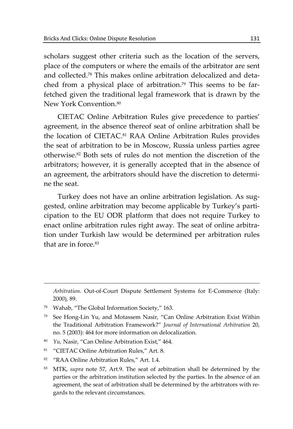scholars suggest other criteria such as the location of the servers, place of the computers or where the emails of the arbitrator are sent and collected.78 This makes online arbitration delocalized and detached from a physical place of arbitration.<sup>79</sup> This seems to be farfetched given the traditional legal framework that is drawn by the New York Convention.<sup>80</sup>

CIETAC Online Arbitration Rules give precedence to parties' agreement, in the absence thereof seat of online arbitration shall be the location of CIETAC.81 RAA Online Arbitration Rules provides the seat of arbitration to be in Moscow, Russia unless parties agree otherwise.82 Both sets of rules do not mention the discretion of the arbitrators; however, it is generally accepted that in the absence of an agreement, the arbitrators should have the discretion to determine the seat.

Turkey does not have an online arbitration legislation. As suggested, online arbitration may become applicable by Turkey's participation to the EU ODR platform that does not require Turkey to enact online arbitration rules right away. The seat of online arbitration under Turkish law would be determined per arbitration rules that are in force  $83$ 

- 80 *Yu,* Nasir, "Can Online Arbitration Exist," 464*.*
- 81 "CIETAC Online Arbitration Rules," Art. 8.
- 82 "RAA Online Arbitration Rules," Art. 1.4.
- 83 MTK, *supra* note 57, Art.9. The seat of arbitration shall be determined by the parties or the arbitration institution selected by the parties. In the absence of an agreement, the seat of arbitration shall be determined by the arbitrators with regards to the relevant circumstances.

*Arbitration*. Out-of-Court Dispute Settlement Systems for E-Commerce (Italy: 2000), 89.

<sup>78</sup> Wahab, "The Global Information Society," 163.

<sup>79</sup> See Hong-Lin Yu, and Motassem Nasir, "Can Online Arbitration Exist Within the Traditional Arbitration Framework?" *Journal of International Arbitration* 20, no. 5 (2003): 464 for more information on delocalization.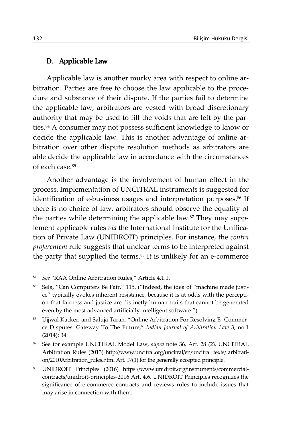# D. Applicable Law

Applicable law is another murky area with respect to online arbitration. Parties are free to choose the law applicable to the procedure and substance of their dispute. If the parties fail to determine the applicable law, arbitrators are vested with broad discretionary authority that may be used to fill the voids that are left by the parties.<sup>84</sup> A consumer may not possess sufficient knowledge to know or decide the applicable law. This is another advantage of online arbitration over other dispute resolution methods as arbitrators are able decide the applicable law in accordance with the circumstances of each case.85

Another advantage is the involvement of human effect in the process. Implementation of UNCITRAL instruments is suggested for identification of e-business usages and interpretation purposes.<sup>86</sup> If there is no choice of law, arbitrators should observe the equality of the parties while determining the applicable law.<sup>87</sup> They may supplement applicable rules *via* the International Institute for the Unification of Private Law (UNIDROIT) principles. For instance, the *contra proferentem* rule suggests that unclear terms to be interpreted against the party that supplied the terms.<sup>88</sup> It is unlikely for an e-commerce

<sup>84</sup> *See* "RAA Online Arbitration Rules," Article 4.1.1.

<sup>85</sup> Sela, "Can Computers Be Fair," 115. ("Indeed, the idea of "machine made justice" typically evokes inherent resistance, because it is at odds with the perception that fairness and justice are distinctly human traits that cannot be generated even by the most advanced artificially intelligent software.").

<sup>86</sup> Ujjwal Kacker, and Saluja Taran, "Online Arbitration For Resolving E- Commerce Disputes: Gateway To The Future," *Indian Journal of Arbitration Law* 3, no.1 (2014): 34.

<sup>87</sup> See for example UNCITRAL Model Law, *supra* note 36, Art. 28 (2), UNCITRAL Arbitration Rules (2013) http://www.uncitral.org/uncitral/en/uncitral\_texts/ arbitration/2010Arbitration\_rules.html Art. 17(1) for the generally accepted principle.

<sup>88</sup> UNIDROIT Principles (2016) https://www.unidroit.org/instruments/commercialcontracts/unidroit-principles-2016 Art. 4.6. UNIDROIT Principles recognizes the significance of e-commerce contracts and reviews rules to include issues that may arise in connection with them.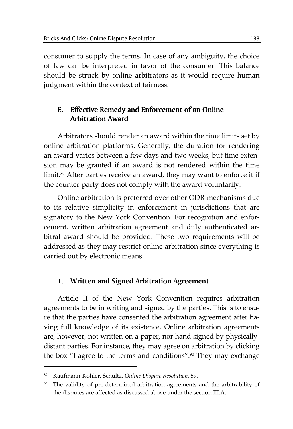consumer to supply the terms. In case of any ambiguity, the choice of law can be interpreted in favor of the consumer. This balance should be struck by online arbitrators as it would require human judgment within the context of fairness.

# E. Effective Remedy and Enforcement of an Online Arbitration Award

Arbitrators should render an award within the time limits set by online arbitration platforms. Generally, the duration for rendering an award varies between a few days and two weeks, but time extension may be granted if an award is not rendered within the time limit.<sup>89</sup> After parties receive an award, they may want to enforce it if the counter-party does not comply with the award voluntarily.

Online arbitration is preferred over other ODR mechanisms due to its relative simplicity in enforcement in jurisdictions that are signatory to the New York Convention. For recognition and enforcement, written arbitration agreement and duly authenticated arbitral award should be provided. These two requirements will be addressed as they may restrict online arbitration since everything is carried out by electronic means.

# **1. Written and Signed Arbitration Agreement**

Article II of the New York Convention requires arbitration agreements to be in writing and signed by the parties. This is to ensure that the parties have consented the arbitration agreement after having full knowledge of its existence. Online arbitration agreements are, however, not written on a paper, nor hand-signed by physicallydistant parties. For instance, they may agree on arbitration by clicking the box "I agree to the terms and conditions".<sup>90</sup> They may exchange

<sup>89</sup> Kaufmann-Kohler, Schultz, *Online Dispute Resolution*, 59.

<sup>90</sup> The validity of pre-determined arbitration agreements and the arbitrability of the disputes are affected as discussed above under the section III.A.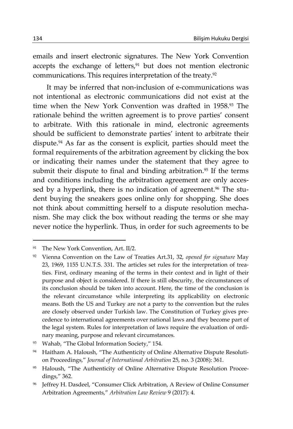emails and insert electronic signatures. The New York Convention accepts the exchange of letters, $91$  but does not mention electronic communications. This requires interpretation of the treaty.<sup>92</sup>

It may be inferred that non-inclusion of e-communications was not intentional as electronic communications did not exist at the time when the New York Convention was drafted in 1958.93 The rationale behind the written agreement is to prove parties' consent to arbitrate. With this rationale in mind, electronic agreements should be sufficient to demonstrate parties' intent to arbitrate their dispute.94 As far as the consent is explicit, parties should meet the formal requirements of the arbitration agreement by clicking the box or indicating their names under the statement that they agree to submit their dispute to final and binding arbitration.<sup>95</sup> If the terms and conditions including the arbitration agreement are only accessed by a hyperlink, there is no indication of agreement.<sup>96</sup> The student buying the sneakers goes online only for shopping. She does not think about committing herself to a dispute resolution mechanism. She may click the box without reading the terms or she may never notice the hyperlink. Thus, in order for such agreements to be

<sup>91</sup> The New York Convention, Art. II/2.

<sup>92</sup> Vienna Convention on the Law of Treaties Art.31, 32, *opened for signature* May 23, 1969, 1155 U.N.T.S. 331. The articles set rules for the interpretation of treaties. First, ordinary meaning of the terms in their context and in light of their purpose and object is considered. If there is still obscurity, the circumstances of its conclusion should be taken into account. Here, the time of the conclusion is the relevant circumstance while interpreting its applicability on electronic means. Both the US and Turkey are not a party to the convention but the rules are closely observed under Turkish law. The Constitution of Turkey gives precedence to international agreements over national laws and they become part of the legal system. Rules for interpretation of laws require the evaluation of ordinary meaning, purpose and relevant circumstances.

<sup>93</sup> Wahab, "The Global Information Society," 154.

<sup>94</sup> Haitham A. Haloush, "The Authenticity of Online Alternative Dispute Resolution Proceedings," *Journal of International Arbitration* 25, no. 3 (2008): 361.

<sup>95</sup> Haloush, "The Authenticity of Online Alternative Dispute Resolution Proceedings," 362.

<sup>96</sup> Jeffrey H. Dasdeel, "Consumer Click Arbitration, A Review of Online Consumer Arbitration Agreements," *Arbitration Law Review* 9 (2017): 4.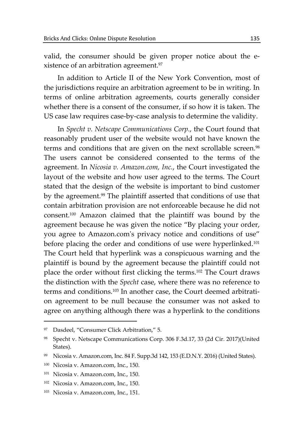valid, the consumer should be given proper notice about the existence of an arbitration agreement.97

In addition to Article II of the New York Convention, most of the jurisdictions require an arbitration agreement to be in writing. In terms of online arbitration agreements, courts generally consider whether there is a consent of the consumer, if so how it is taken. The US case law requires case-by-case analysis to determine the validity.

In *Specht v. Netscape Communications Corp.*, the Court found that reasonably prudent user of the website would not have known the terms and conditions that are given on the next scrollable screen.<sup>98</sup> The users cannot be considered consented to the terms of the agreement. In *Nicosia v. Amazon.com, Inc.*, the Court investigated the layout of the website and how user agreed to the terms. The Court stated that the design of the website is important to bind customer by the agreement.<sup>99</sup> The plaintiff asserted that conditions of use that contain arbitration provision are not enforceable because he did not consent.100 Amazon claimed that the plaintiff was bound by the agreement because he was given the notice "By placing your order, you agree to Amazon.com's privacy notice and conditions of use" before placing the order and conditions of use were hyperlinked.<sup>101</sup> The Court held that hyperlink was a conspicuous warning and the plaintiff is bound by the agreement because the plaintiff could not place the order without first clicking the terms.102 The Court draws the distinction with the *Specht* case, where there was no reference to terms and conditions.103 In another case, the Court deemed arbitration agreement to be null because the consumer was not asked to agree on anything although there was a hyperlink to the conditions

<sup>97</sup> Dasdeel, "Consumer Click Arbitration," 5.

<sup>98</sup> Specht v. Netscape Communications Corp. 306 F.3d.17, 33 (2d Cir. 2017)(United States).

<sup>99</sup> Nicosia v. Amazon.com, Inc. 84 F. Supp.3d 142, 153 (E.D.N.Y. 2016) (United States).

<sup>100</sup> Nicosia v. Amazon.com, Inc., 150.

<sup>101</sup> Nicosia v. Amazon.com, Inc., 150.

<sup>102</sup> Nicosia v. Amazon.com, Inc., 150.

<sup>103</sup> Nicosia v. Amazon.com, Inc., 151.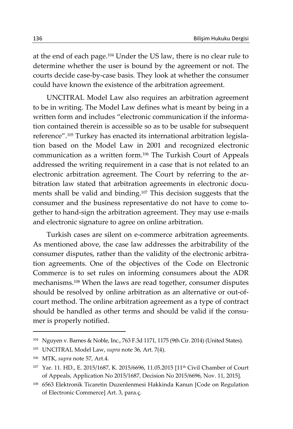at the end of each page.104 Under the US law, there is no clear rule to determine whether the user is bound by the agreement or not. The courts decide case-by-case basis. They look at whether the consumer could have known the existence of the arbitration agreement.

UNCITRAL Model Law also requires an arbitration agreement to be in writing. The Model Law defines what is meant by being in a written form and includes "electronic communication if the information contained therein is accessible so as to be usable for subsequent reference".105 Turkey has enacted its international arbitration legislation based on the Model Law in 2001 and recognized electronic communication as a written form.106 The Turkish Court of Appeals addressed the writing requirement in a case that is not related to an electronic arbitration agreement. The Court by referring to the arbitration law stated that arbitration agreements in electronic documents shall be valid and binding.107 This decision suggests that the consumer and the business representative do not have to come together to hand-sign the arbitration agreement. They may use e-mails and electronic signature to agree on online arbitration.

Turkish cases are silent on e-commerce arbitration agreements. As mentioned above, the case law addresses the arbitrability of the consumer disputes, rather than the validity of the electronic arbitration agreements. One of the objectives of the Code on Electronic Commerce is to set rules on informing consumers about the ADR mechanisms.108 When the laws are read together, consumer disputes should be resolved by online arbitration as an alternative or out-ofcourt method. The online arbitration agreement as a type of contract should be handled as other terms and should be valid if the consumer is properly notified.

<sup>104</sup> Nguyen v. Barnes & Noble, Inc., 763 F.3d 1171, 1175 (9th Cir. 2014) (United States).

<sup>105</sup> UNCITRAL Model Law, *supra* note 36, Art. 7(4).

<sup>106</sup> MTK, *supra* note 57, Art.4.

<sup>107</sup> Yar. 11. HD., E. 2015/1687, K. 2015/6696, 11.05.2015 [11th Civil Chamber of Court of Appeals, Application No 2015/1687, Decision No 2015/6696, Nov. 11, 2015].

<sup>108 6563</sup> Elektronik Ticaretin Duzenlenmesi Hakkinda Kanun [Code on Regulation of Electronic Commerce] Art. 3, para.ç.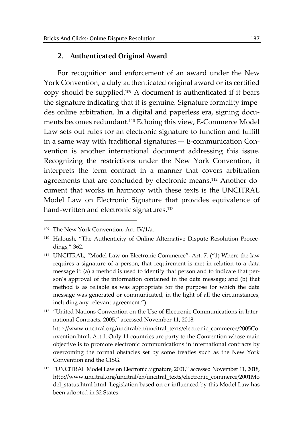# **2. Authenticated Original Award**

For recognition and enforcement of an award under the New York Convention, a duly authenticated original award or its certified copy should be supplied.109 A document is authenticated if it bears the signature indicating that it is genuine. Signature formality impedes online arbitration. In a digital and paperless era, signing documents becomes redundant.110 Echoing this view, E-Commerce Model Law sets out rules for an electronic signature to function and fulfill in a same way with traditional signatures.111 E-communication Convention is another international document addressing this issue. Recognizing the restrictions under the New York Convention, it interprets the term contract in a manner that covers arbitration agreements that are concluded by electronic means.112 Another document that works in harmony with these texts is the UNCITRAL Model Law on Electronic Signature that provides equivalence of hand-written and electronic signatures.<sup>113</sup>

<sup>109</sup> The New York Convention, Art. IV/1/a.

<sup>110</sup> Haloush, "The Authenticity of Online Alternative Dispute Resolution Proceedings," 362.

<sup>&</sup>lt;sup>111</sup> UNCITRAL, "Model Law on Electronic Commerce", Art. 7. ("1) Where the law requires a signature of a person, that requirement is met in relation to a data message if: (a) a method is used to identify that person and to indicate that person's approval of the information contained in the data message; and (b) that method is as reliable as was appropriate for the purpose for which the data message was generated or communicated, in the light of all the circumstances, including any relevant agreement.").

<sup>112 &</sup>quot;United Nations Convention on the Use of Electronic Communications in International Contracts, 2005," accessed November 11, 2018,

http://www.uncitral.org/uncitral/en/uncitral\_texts/electronic\_commerce/2005Co nvention.html, Art.1. Only 11 countries are party to the Convention whose main objective is to promote electronic communications in international contracts by overcoming the formal obstacles set by some treaties such as the New York Convention and the CISG.

<sup>113 &</sup>quot;UNCITRAL Model Law on Electronic Signature, 2001," accessed November 11, 2018, http://www.uncitral.org/uncitral/en/uncitral\_texts/electronic\_commerce/2001Mo del\_status.html html. Legislation based on or influenced by this Model Law has been adopted in 32 States.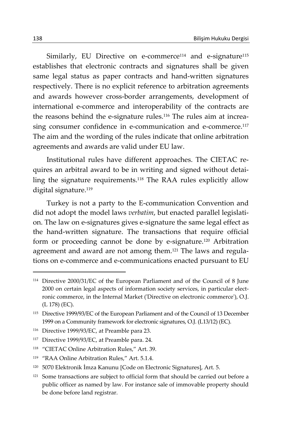Similarly, EU Directive on e-commerce<sup>114</sup> and e-signature<sup>115</sup> establishes that electronic contracts and signatures shall be given same legal status as paper contracts and hand-written signatures respectively. There is no explicit reference to arbitration agreements and awards however cross-border arrangements, development of international e-commerce and interoperability of the contracts are the reasons behind the e-signature rules.116 The rules aim at increasing consumer confidence in e-communication and e-commerce.117 The aim and the wording of the rules indicate that online arbitration agreements and awards are valid under EU law.

Institutional rules have different approaches. The CIETAC requires an arbitral award to be in writing and signed without detailing the signature requirements.118 The RAA rules explicitly allow digital signature.<sup>119</sup>

Turkey is not a party to the E-communication Convention and did not adopt the model laws *verbatim*, but enacted parallel legislation. The law on e-signatures gives e-signature the same legal effect as the hand-written signature. The transactions that require official form or proceeding cannot be done by e-signature.120 Arbitration agreement and award are not among them.121 The laws and regulations on e-commerce and e-communications enacted pursuant to EU

<sup>114</sup> Directive 2000/31/EC of the European Parliament and of the Council of 8 June 2000 on certain legal aspects of information society services, in particular electronic commerce, in the Internal Market ('Directive on electronic commerce'), O.J. (L 178) (EC).

<sup>115</sup> Directive 1999/93/EC of the European Parliament and of the Council of 13 December 1999 on a Community framework for electronic signatures, O.J. (L13/12) (EC).

<sup>116</sup> Directive 1999/93/EC, at Preamble para 23.

<sup>117</sup> Directive 1999/93/EC, at Preamble para. 24.

<sup>118 &</sup>quot;CIETAC Online Arbitration Rules," Art. 39.

<sup>119 &</sup>quot;RAA Online Arbitration Rules," Art. 5.1.4.

<sup>120 5070</sup> Elektronik İmza Kanunu [Code on Electronic Signatures], Art. 5.

<sup>&</sup>lt;sup>121</sup> Some transactions are subject to official form that should be carried out before a public officer as named by law. For instance sale of immovable property should be done before land registrar.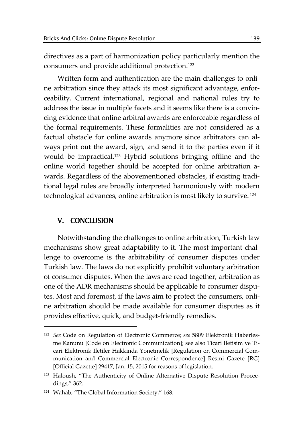directives as a part of harmonization policy particularly mention the consumers and provide additional protection.122

Written form and authentication are the main challenges to online arbitration since they attack its most significant advantage, enforceability. Current international, regional and national rules try to address the issue in multiple facets and it seems like there is a convincing evidence that online arbitral awards are enforceable regardless of the formal requirements. These formalities are not considered as a factual obstacle for online awards anymore since arbitrators can always print out the award, sign, and send it to the parties even if it would be impractical.123 Hybrid solutions bringing offline and the online world together should be accepted for online arbitration awards. Regardless of the abovementioned obstacles, if existing traditional legal rules are broadly interpreted harmoniously with modern technological advances, online arbitration is most likely to survive. 124

# V. CONCLUSION

 $\overline{a}$ 

Notwithstanding the challenges to online arbitration, Turkish law mechanisms show great adaptability to it. The most important challenge to overcome is the arbitrability of consumer disputes under Turkish law. The laws do not explicitly prohibit voluntary arbitration of consumer disputes. When the laws are read together, arbitration as one of the ADR mechanisms should be applicable to consumer disputes. Most and foremost, if the laws aim to protect the consumers, online arbitration should be made available for consumer disputes as it provides effective, quick, and budget-friendly remedies.

<sup>122</sup> *See* Code on Regulation of Electronic Commerce; *see* 5809 Elektronik Haberlesme Kanunu [Code on Electronic Communication]; see also Ticari Iletisim ve Ticari Elektronik Iletiler Hakkinda Yonetmelik [Regulation on Commercial Communication and Commercial Electronic Correspondence] Resmi Gazete [RG] [Official Gazette] 29417, Jan. 15, 2015 for reasons of legislation.

<sup>123</sup> Haloush, "The Authenticity of Online Alternative Dispute Resolution Proceedings," 362.

<sup>124</sup> Wahab, "The Global Information Society," 168.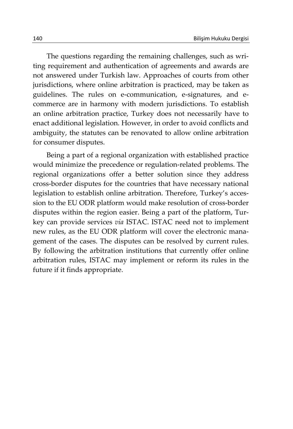The questions regarding the remaining challenges, such as writing requirement and authentication of agreements and awards are not answered under Turkish law. Approaches of courts from other jurisdictions, where online arbitration is practiced, may be taken as guidelines. The rules on e-communication, e-signatures, and ecommerce are in harmony with modern jurisdictions. To establish an online arbitration practice, Turkey does not necessarily have to enact additional legislation. However, in order to avoid conflicts and ambiguity, the statutes can be renovated to allow online arbitration for consumer disputes.

Being a part of a regional organization with established practice would minimize the precedence or regulation-related problems. The regional organizations offer a better solution since they address cross-border disputes for the countries that have necessary national legislation to establish online arbitration. Therefore, Turkey's accession to the EU ODR platform would make resolution of cross-border disputes within the region easier. Being a part of the platform, Turkey can provide services *via* ISTAC. ISTAC need not to implement new rules, as the EU ODR platform will cover the electronic management of the cases. The disputes can be resolved by current rules. By following the arbitration institutions that currently offer online arbitration rules, ISTAC may implement or reform its rules in the future if it finds appropriate.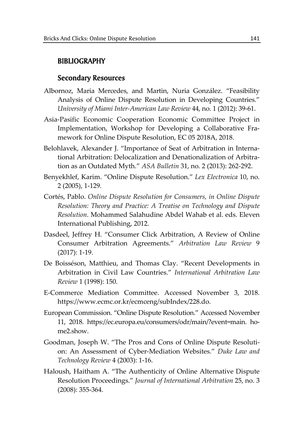## BIBLIOGRAPHY

# Secondary Resources

- Albornoz, Maria Mercedes, and Martin, Nuria González. "Feasibility Analysis of Online Dispute Resolution in Developing Countries." *University of Miami Inter-American Law Review* 44, no. 1 (2012): 39-61.
- Asia-Pasific Economic Cooperation Economic Committee Project in Implementation, Workshop for Developing a Collaborative Framework for Online Dispute Resolution, EC 05 2018A, 2018.
- Belohlavek, Alexander J. "Importance of Seat of Arbitration in International Arbitration: Delocalization and Denationalization of Arbitration as an Outdated Myth." *ASA Bulletin* 31, no. 2 (2013): 262-292.
- Benyekhlef, Karim. "Online Dispute Resolution." *Lex Electronica* 10, no. 2 (2005), 1-129.
- Cortés, Pablo. *Online Dispute Resolution for Consumers, in Online Dispute Resolution: Theory and Practice: A Treatise on Technology and Dispute Resolution*. Mohammed Salahudine Abdel Wahab et al. eds. Eleven International Publishing, 2012.
- Dasdeel, Jeffrey H. "Consumer Click Arbitration, A Review of Online Consumer Arbitration Agreements." *Arbitration Law Review* 9 (2017): 1-19.
- De Boisséson, Matthieu, and Thomas Clay. "Recent Developments in Arbitration in Civil Law Countries." *International Arbitration Law Review* 1 (1998): 150.
- E-Commerce Mediation Committee. Accessed November 3, 2018. https://www.ecmc.or.kr/ecmceng/subIndex/228.do.
- European Commission. "Online Dispute Resolution." Accessed November 11, 2018. https://ec.europa.eu/consumers/odr/main/?event=main. home2.show.
- Goodman, Joseph W. "The Pros and Cons of Online Dispute Resolution: An Assessment of Cyber-Mediation Websites." *Duke Law and Technology Review* 4 (2003): 1-16.
- Haloush, Haitham A. "The Authenticity of Online Alternative Dispute Resolution Proceedings." *Journal of International Arbitration* 25, no. 3 (2008): 355-364.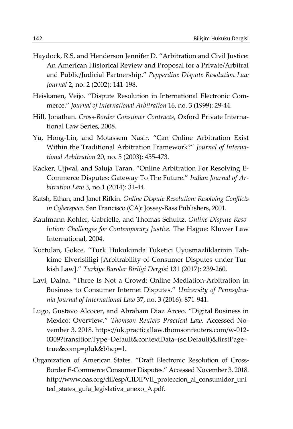- Haydock, R.S, and Henderson Jennifer D. "Arbitration and Civil Justice: An American Historical Review and Proposal for a Private/Arbitral and Public/Judicial Partnership." *Pepperdine Dispute Resolution Law Journal* 2, no. 2 (2002): 141-198.
- Heiskanen, Veijo. "Dispute Resolution in International Electronic Commerce." *Journal of International Arbitration* 16, no. 3 (1999): 29-44.
- Hill, Jonathan. *Cross-Border Consumer Contracts*, Oxford Private International Law Series, 2008.
- Yu, Hong-Lin, and Motassem Nasir. "Can Online Arbitration Exist Within the Traditional Arbitration Framework?" *Journal of International Arbitration* 20, no. 5 (2003): 455-473.
- Kacker, Ujjwal, and Saluja Taran. "Online Arbitration For Resolving E-Commerce Disputes: Gateway To The Future." *Indian Journal of Arbitration Law* 3, no.1 (2014): 31-44.
- Katsh, Ethan, and Janet Rifkin. *Online Dispute Resolution: Resolving Conflicts in Cyberspace.* San Francisco (CA): Jossey-Bass Publishers, 2001.
- Kaufmann-Kohler, Gabrielle, and Thomas Schultz. *Online Dispute Resolution: Challenges for Contemporary Justice.* The Hague: Kluwer Law International, 2004.
- Kurtulan, Gokce. "Turk Hukukunda Tuketici Uyusmazliklarinin Tahkime Elverisliligi [Arbitrability of Consumer Disputes under Turkish Law]." *Turkiye Barolar Birligi Dergisi* 131 (2017): 239-260.
- Lavi, Dafna. "Three Is Not a Crowd: Online Mediation-Arbitration in Business to Consumer Internet Disputes." *University of Pennsylvania Journal of International Law* 37, no. 3 (2016): 871-941.
- Lugo, Gustavo Alcocer, and Abraham Diaz Arceo. "Digital Business in Mexico: Overview." *Thomson Reuters Practical Law.* Accessed November 3, 2018. https://uk.practicallaw.thomsonreuters.com/w-012- 0309?transitionType=Default&contextData=(sc.Default)&firstPage= true&comp=pluk&bhcp=1.
- Organization of American States. "Draft Electronic Resolution of Cross-Border E-Commerce Consumer Disputes*.*" Accessed November 3, 2018. http://www.oas.org/dil/esp/CIDIPVII\_proteccion\_al\_consumidor\_uni ted\_states\_guia\_legislativa\_anexo\_A.pdf.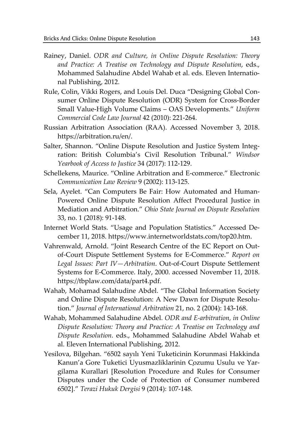- Rainey, Daniel. *ODR and Culture, in Online Dispute Resolution: Theory and Practice: A Treatise on Technology and Dispute Resolution*, eds., Mohammed Salahudine Abdel Wahab et al. eds. Eleven International Publishing, 2012.
- Rule, Colin, Vikki Rogers, and Louis Del. Duca "Designing Global Consumer Online Dispute Resolution (ODR) System for Cross-Border Small Value-High Volume Claims – OAS Developments." *Uniform Commercial Code Law Journal* 42 (2010): 221-264.
- Russian Arbitration Association (RAA). Accessed November 3, 2018. https://arbitration.ru/en/.
- Salter, Shannon. "Online Dispute Resolution and Justice System Integration: British Columbia's Civil Resolution Tribunal." *Windsor Yearbook of Access to Justice* 34 (2017): 112-129.
- Schellekens, Maurice. "Online Arbitration and E-commerce." Electronic *Communication Law Review* 9 (2002): 113-125.
- Sela, Ayelet. "Can Computers Be Fair: How Automated and Human-Powered Online Dispute Resolution Affect Procedural Justice in Mediation and Arbitration." *Ohio State Journal on Dispute Resolution* 33, no. 1 (2018): 91-148.
- Internet World Stats. "Usage and Population Statistics." Accessed December 11, 2018. https://www.internetworldstats.com/top20.htm.
- Vahrenwald, Arnold. "Joint Research Centre of the EC Report on Outof-Court Dispute Settlement Systems for E-Commerce." *Report on Legal Issues: Part IV—Arbitration*. Out-of-Court Dispute Settlement Systems for E-Commerce. Italy, 2000. accessed November 11, 2018. https://tbplaw.com/data/part4.pdf.
- Wahab, Mohamad Salahudine Abdel. "The Global Information Society and Online Dispute Resolution: A New Dawn for Dispute Resolution." *Journal of International Arbitration* 21, no. 2 (2004): 143-168.
- Wahab, Mohammed Salahudine Abdel. *ODR and E-arbitration, in Online Dispute Resolution: Theory and Practice: A Treatise on Technology and Dispute Resolution*. eds., Mohammed Salahudine Abdel Wahab et al. Eleven International Publishing, 2012.
- Yesilova, Bilgehan. "6502 sayılı Yeni Tuketicinin Korunmasi Hakkinda Kanun'a Gore Tuketici Uyusmazliklarinin Çozumu Usulu ve Yargilama Kurallari [Resolution Procedure and Rules for Consumer Disputes under the Code of Protection of Consumer numbered 6502]." *Terazi Hukuk Dergisi* 9 (2014): 107-148.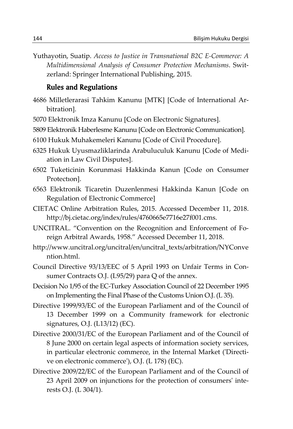Yuthayotin, Suatip. *Access to Justice in Transnational B2C E-Commerce: A Multidimensional Analysis of Consumer Protection Mechanisms*. Switzerland: Springer International Publishing, 2015.

# Rules and Regulations

- 4686 Milletlerarasi Tahkim Kanunu [MTK] [Code of International Arbitration].
- 5070 Elektronik Imza Kanunu [Code on Electronic Signatures].
- 5809 Elektronik Haberlesme Kanunu [Code on Electronic Communication].
- 6100 Hukuk Muhakemeleri Kanunu [Code of Civil Procedure].
- 6325 Hukuk Uyusmazliklarinda Arabuluculuk Kanunu [Code of Mediation in Law Civil Disputes].
- 6502 Tuketicinin Korunmasi Hakkinda Kanun [Code on Consumer Protectıon].
- 6563 Elektronik Ticaretin Duzenlenmesi Hakkinda Kanun [Code on Regulation of Electronic Commerce]
- CIETAC Online Arbitration Rules, 2015. Accessed December 11, 2018. http://bj.cietac.org/index/rules/4760665e7716e27f001.cms.
- UNCITRAL. "Convention on the Recognition and Enforcement of Foreign Arbitral Awards, 1958." Accessed December 11, 2018.
- http://www.uncitral.org/uncitral/en/uncitral\_texts/arbitration/NYConve ntion.html.
- Council Directive 93/13/EEC of 5 April 1993 on Unfair Terms in Consumer Contracts O.J. (L95/29) para Q of the annex.
- Decision No 1/95 of the EC-Turkey Association Council of 22 December 1995 on Implementing the Final Phase of the Customs Union O.J. (L 35).
- Directive 1999/93/EC of the European Parliament and of the Council of 13 December 1999 on a Community framework for electronic signatures, O.J. (L13/12) (EC).
- Directive 2000/31/EC of the European Parliament and of the Council of 8 June 2000 on certain legal aspects of information society services, in particular electronic commerce, in the Internal Market ('Directive on electronic commerce'), O.J. (L 178) (EC).
- Directive 2009/22/EC of the European Parliament and of the Council of 23 April 2009 on injunctions for the protection of consumers' interests O.J. (L 304/1).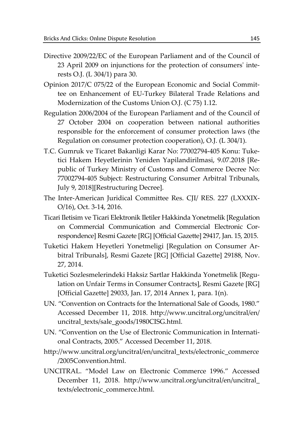- Directive 2009/22/EC of the European Parliament and of the Council of 23 April 2009 on injunctions for the protection of consumers' interests O.J. (L 304/1) para 30.
- Opinion 2017/C 075/22 of the European Economic and Social Committee on Enhancement of EU-Turkey Bilateral Trade Relations and Modernization of the Customs Union O.J. (C 75) 1.12.
- Regulation 2006/2004 of the European Parliament and of the Council of 27 October 2004 on cooperation between national authorities responsible for the enforcement of consumer protection laws (the Regulation on consumer protection cooperation), O.J. (L 304/1).
- T.C. Gumruk ve Ticaret Bakanligi Karar No: 77002794-405 Konu: Tuketici Hakem Heyetlerinin Yeniden Yapilandirilmasi, 9.07.2018 [Republic of Turkey Ministry of Customs and Commerce Decree No: 77002794-405 Subject: Restructuring Consumer Arbitral Tribunals, July 9, 2018][Restructuring Decree].
- The Inter-American Juridical Committee Res. CJI/ RES. 227 (LXXXIX-O/16), Oct. 3-14, 2016.
- Ticari Iletisim ve Ticari Elektronik Iletiler Hakkinda Yonetmelik [Regulation on Commercial Communication and Commercial Electronic Correspondence] Resmi Gazete [RG] [Official Gazette] 29417, Jan. 15, 2015.
- Tuketici Hakem Heyetleri Yonetmeligi [Regulation on Consumer Arbitral Tribunals], Resmi Gazete [RG] [Official Gazette] 29188, Nov. 27, 2014.
- Tuketici Sozlesmelerindeki Haksiz Sartlar Hakkinda Yonetmelik [Regulation on Unfair Terms in Consumer Contracts], Resmi Gazete [RG] [Official Gazette] 29033, Jan. 17, 2014 Annex 1, para. 1(n).
- UN. "Convention on Contracts for the International Sale of Goods, 1980." Accessed December 11, 2018. http://www.uncitral.org/uncitral/en/ uncitral\_texts/sale\_goods/1980CISG.html.
- UN. "Convention on the Use of Electronic Communication in International Contracts, 2005." Accessed December 11, 2018.
- http://www.uncitral.org/uncitral/en/uncitral\_texts/electronic\_commerce /2005Convention.html.
- UNCITRAL. "Model Law on Electronic Commerce 1996." Accessed December 11, 2018. http://www.uncitral.org/uncitral/en/uncitral\_ texts/electronic\_commerce.html.